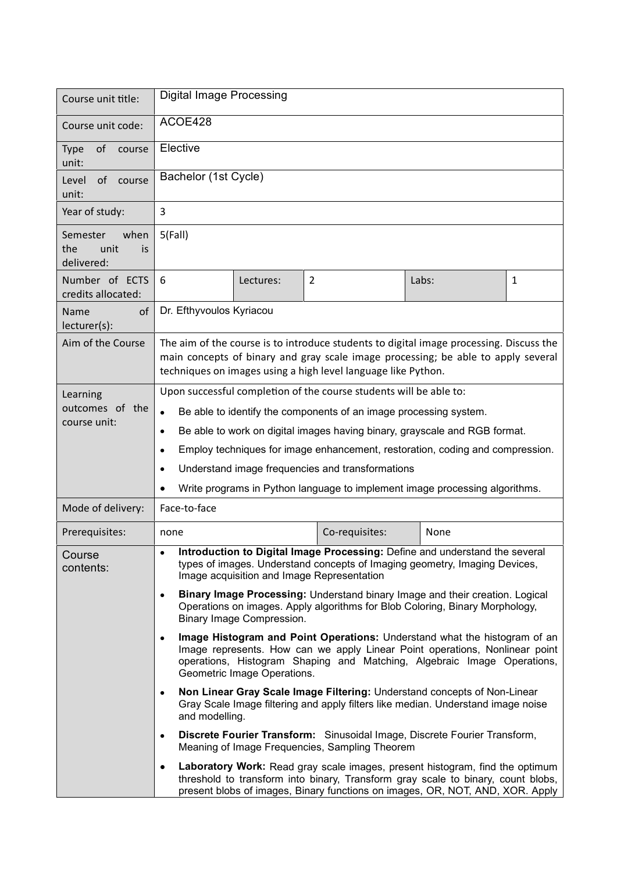| Course unit title:                                  | <b>Digital Image Processing</b>                                                                                                                                                                                                                                                 |           |                |       |   |  |
|-----------------------------------------------------|---------------------------------------------------------------------------------------------------------------------------------------------------------------------------------------------------------------------------------------------------------------------------------|-----------|----------------|-------|---|--|
| Course unit code:                                   | ACOE428                                                                                                                                                                                                                                                                         |           |                |       |   |  |
| of<br><b>Type</b><br>course<br>unit:                | Elective                                                                                                                                                                                                                                                                        |           |                |       |   |  |
| of course<br>Level<br>unit:                         | Bachelor (1st Cycle)                                                                                                                                                                                                                                                            |           |                |       |   |  |
| Year of study:                                      | 3                                                                                                                                                                                                                                                                               |           |                |       |   |  |
| when<br>Semester<br>the<br>unit<br>is<br>delivered: | 5(Fall)                                                                                                                                                                                                                                                                         |           |                |       |   |  |
| Number of ECTS<br>credits allocated:                | 6                                                                                                                                                                                                                                                                               | Lectures: | $\overline{2}$ | Labs: | 1 |  |
| Name<br>οf<br>lecturer(s):                          | Dr. Efthyvoulos Kyriacou                                                                                                                                                                                                                                                        |           |                |       |   |  |
| Aim of the Course                                   | The aim of the course is to introduce students to digital image processing. Discuss the<br>main concepts of binary and gray scale image processing; be able to apply several<br>techniques on images using a high level language like Python.                                   |           |                |       |   |  |
| Learning<br>outcomes of the<br>course unit:         | Upon successful completion of the course students will be able to:                                                                                                                                                                                                              |           |                |       |   |  |
|                                                     | Be able to identify the components of an image processing system.<br>$\bullet$                                                                                                                                                                                                  |           |                |       |   |  |
|                                                     | Be able to work on digital images having binary, grayscale and RGB format.<br>$\bullet$                                                                                                                                                                                         |           |                |       |   |  |
|                                                     | Employ techniques for image enhancement, restoration, coding and compression.<br>$\bullet$                                                                                                                                                                                      |           |                |       |   |  |
|                                                     | Understand image frequencies and transformations<br>$\bullet$                                                                                                                                                                                                                   |           |                |       |   |  |
|                                                     | Write programs in Python language to implement image processing algorithms.                                                                                                                                                                                                     |           |                |       |   |  |
| Mode of delivery:                                   | Face-to-face                                                                                                                                                                                                                                                                    |           |                |       |   |  |
| Prerequisites:                                      | none                                                                                                                                                                                                                                                                            |           | Co-requisites: | None  |   |  |
| Course<br>contents:                                 | Introduction to Digital Image Processing: Define and understand the several<br>types of images. Understand concepts of Imaging geometry, Imaging Devices,<br>Image acquisition and Image Representation                                                                         |           |                |       |   |  |
|                                                     | Binary Image Processing: Understand binary Image and their creation. Logical<br>$\bullet$<br>Operations on images. Apply algorithms for Blob Coloring, Binary Morphology,<br>Binary Image Compression.                                                                          |           |                |       |   |  |
|                                                     | Image Histogram and Point Operations: Understand what the histogram of an<br>$\bullet$<br>Image represents. How can we apply Linear Point operations, Nonlinear point<br>operations, Histogram Shaping and Matching, Algebraic Image Operations,<br>Geometric Image Operations. |           |                |       |   |  |
|                                                     | Non Linear Gray Scale Image Filtering: Understand concepts of Non-Linear<br>$\bullet$<br>Gray Scale Image filtering and apply filters like median. Understand image noise<br>and modelling.                                                                                     |           |                |       |   |  |
|                                                     | Discrete Fourier Transform: Sinusoidal Image, Discrete Fourier Transform,<br>$\bullet$<br>Meaning of Image Frequencies, Sampling Theorem                                                                                                                                        |           |                |       |   |  |
|                                                     | Laboratory Work: Read gray scale images, present histogram, find the optimum<br>٠<br>threshold to transform into binary, Transform gray scale to binary, count blobs,<br>present blobs of images, Binary functions on images, OR, NOT, AND, XOR. Apply                          |           |                |       |   |  |